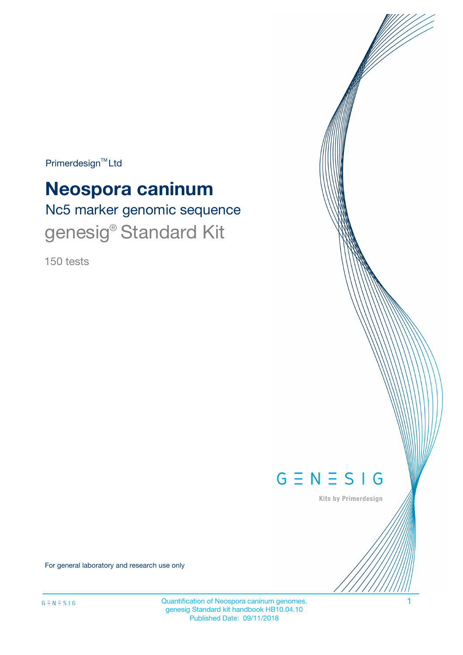$Primerdesign^{TM}$ Ltd

# **Neospora caninum**

Nc5 marker genomic sequence genesig<sup>®</sup> Standard Kit

150 tests



Kits by Primerdesign

For general laboratory and research use only

Quantification of Neospora caninum genomes. 1 genesig Standard kit handbook HB10.04.10 Published Date: 09/11/2018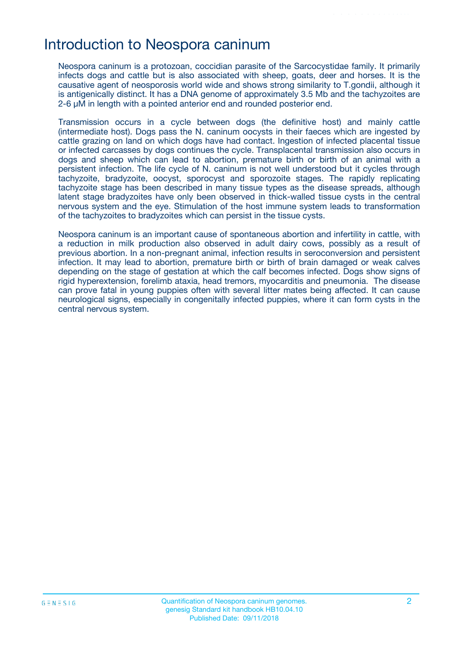## Introduction to Neospora caninum

Neospora caninum is a protozoan, coccidian parasite of the Sarcocystidae family. It primarily infects dogs and cattle but is also associated with sheep, goats, deer and horses. It is the causative agent of neosporosis world wide and shows strong similarity to T.gondii, although it is antigenically distinct. It has a DNA genome of approximately 3.5 Mb and the tachyzoites are 2-6 μM in length with a pointed anterior end and rounded posterior end.

Transmission occurs in a cycle between dogs (the definitive host) and mainly cattle (intermediate host). Dogs pass the N. caninum oocysts in their faeces which are ingested by cattle grazing on land on which dogs have had contact. Ingestion of infected placental tissue or infected carcasses by dogs continues the cycle. Transplacental transmission also occurs in dogs and sheep which can lead to abortion, premature birth or birth of an animal with a persistent infection. The life cycle of N. caninum is not well understood but it cycles through tachyzoite, bradyzoite, oocyst, sporocyst and sporozoite stages. The rapidly replicating tachyzoite stage has been described in many tissue types as the disease spreads, although latent stage bradyzoites have only been observed in thick-walled tissue cysts in the central nervous system and the eye. Stimulation of the host immune system leads to transformation of the tachyzoites to bradyzoites which can persist in the tissue cysts.

Neospora caninum is an important cause of spontaneous abortion and infertility in cattle, with a reduction in milk production also observed in adult dairy cows, possibly as a result of previous abortion. In a non-pregnant animal, infection results in seroconversion and persistent infection. It may lead to abortion, premature birth or birth of brain damaged or weak calves depending on the stage of gestation at which the calf becomes infected. Dogs show signs of rigid hyperextension, forelimb ataxia, head tremors, myocarditis and pneumonia. The disease can prove fatal in young puppies often with several litter mates being affected. It can cause neurological signs, especially in congenitally infected puppies, where it can form cysts in the central nervous system.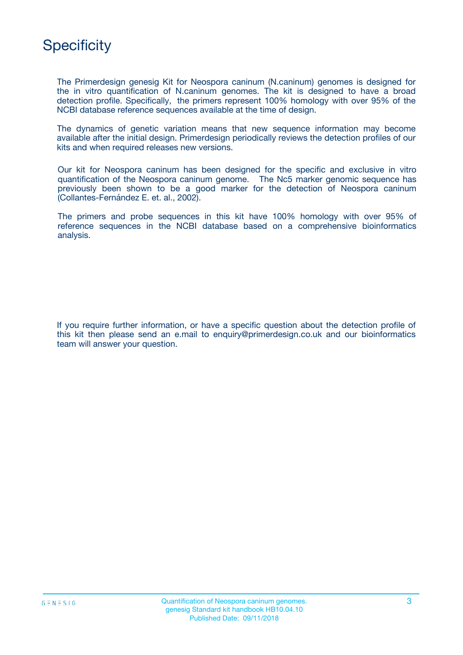

The Primerdesign genesig Kit for Neospora caninum (N.caninum) genomes is designed for the in vitro quantification of N.caninum genomes. The kit is designed to have a broad detection profile. Specifically, the primers represent 100% homology with over 95% of the NCBI database reference sequences available at the time of design.

The dynamics of genetic variation means that new sequence information may become available after the initial design. Primerdesign periodically reviews the detection profiles of our kits and when required releases new versions.

Our kit for Neospora caninum has been designed for the specific and exclusive in vitro quantification of the Neospora caninum genome. The Nc5 marker genomic sequence has previously been shown to be a good marker for the detection of Neospora caninum (Collantes-Fernández E. et. al., 2002).

The primers and probe sequences in this kit have 100% homology with over 95% of reference sequences in the NCBI database based on a comprehensive bioinformatics analysis.

If you require further information, or have a specific question about the detection profile of this kit then please send an e.mail to enquiry@primerdesign.co.uk and our bioinformatics team will answer your question.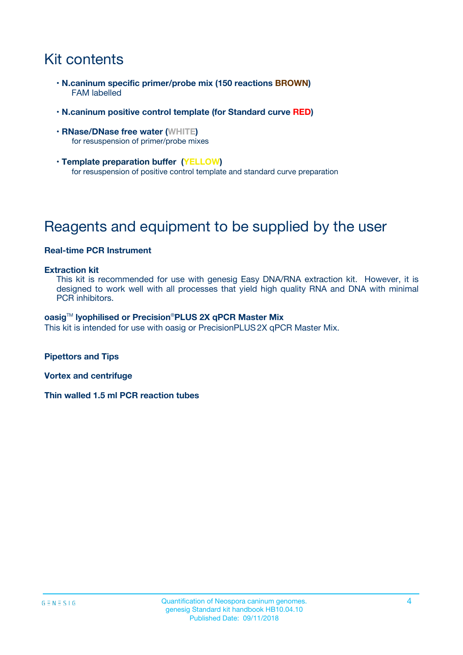## Kit contents

- **N.caninum specific primer/probe mix (150 reactions BROWN)** FAM labelled
- **N.caninum positive control template (for Standard curve RED)**
- **RNase/DNase free water (WHITE)** for resuspension of primer/probe mixes
- **Template preparation buffer (YELLOW)** for resuspension of positive control template and standard curve preparation

## Reagents and equipment to be supplied by the user

### **Real-time PCR Instrument**

#### **Extraction kit**

This kit is recommended for use with genesig Easy DNA/RNA extraction kit. However, it is designed to work well with all processes that yield high quality RNA and DNA with minimal PCR inhibitors.

#### **oasig**TM **lyophilised or Precision**®**PLUS 2X qPCR Master Mix**

This kit is intended for use with oasig or PrecisionPLUS2X qPCR Master Mix.

**Pipettors and Tips**

**Vortex and centrifuge**

**Thin walled 1.5 ml PCR reaction tubes**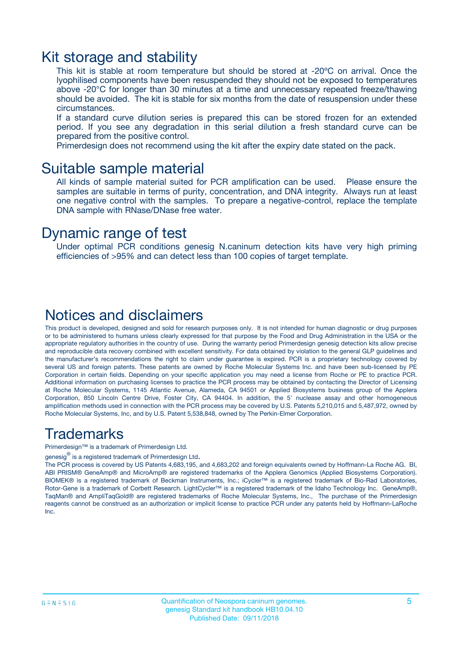### Kit storage and stability

This kit is stable at room temperature but should be stored at -20ºC on arrival. Once the lyophilised components have been resuspended they should not be exposed to temperatures above -20°C for longer than 30 minutes at a time and unnecessary repeated freeze/thawing should be avoided. The kit is stable for six months from the date of resuspension under these circumstances.

If a standard curve dilution series is prepared this can be stored frozen for an extended period. If you see any degradation in this serial dilution a fresh standard curve can be prepared from the positive control.

Primerdesign does not recommend using the kit after the expiry date stated on the pack.

### Suitable sample material

All kinds of sample material suited for PCR amplification can be used. Please ensure the samples are suitable in terms of purity, concentration, and DNA integrity. Always run at least one negative control with the samples. To prepare a negative-control, replace the template DNA sample with RNase/DNase free water.

### Dynamic range of test

Under optimal PCR conditions genesig N.caninum detection kits have very high priming efficiencies of >95% and can detect less than 100 copies of target template.

### Notices and disclaimers

This product is developed, designed and sold for research purposes only. It is not intended for human diagnostic or drug purposes or to be administered to humans unless clearly expressed for that purpose by the Food and Drug Administration in the USA or the appropriate regulatory authorities in the country of use. During the warranty period Primerdesign genesig detection kits allow precise and reproducible data recovery combined with excellent sensitivity. For data obtained by violation to the general GLP guidelines and the manufacturer's recommendations the right to claim under guarantee is expired. PCR is a proprietary technology covered by several US and foreign patents. These patents are owned by Roche Molecular Systems Inc. and have been sub-licensed by PE Corporation in certain fields. Depending on your specific application you may need a license from Roche or PE to practice PCR. Additional information on purchasing licenses to practice the PCR process may be obtained by contacting the Director of Licensing at Roche Molecular Systems, 1145 Atlantic Avenue, Alameda, CA 94501 or Applied Biosystems business group of the Applera Corporation, 850 Lincoln Centre Drive, Foster City, CA 94404. In addition, the 5' nuclease assay and other homogeneous amplification methods used in connection with the PCR process may be covered by U.S. Patents 5,210,015 and 5,487,972, owned by Roche Molecular Systems, Inc, and by U.S. Patent 5,538,848, owned by The Perkin-Elmer Corporation.

### Trademarks

Primerdesign™ is a trademark of Primerdesign Ltd.

genesig $^\circledR$  is a registered trademark of Primerdesign Ltd.

The PCR process is covered by US Patents 4,683,195, and 4,683,202 and foreign equivalents owned by Hoffmann-La Roche AG. BI, ABI PRISM® GeneAmp® and MicroAmp® are registered trademarks of the Applera Genomics (Applied Biosystems Corporation). BIOMEK® is a registered trademark of Beckman Instruments, Inc.; iCycler™ is a registered trademark of Bio-Rad Laboratories, Rotor-Gene is a trademark of Corbett Research. LightCycler™ is a registered trademark of the Idaho Technology Inc. GeneAmp®, TaqMan® and AmpliTaqGold® are registered trademarks of Roche Molecular Systems, Inc., The purchase of the Primerdesign reagents cannot be construed as an authorization or implicit license to practice PCR under any patents held by Hoffmann-LaRoche Inc.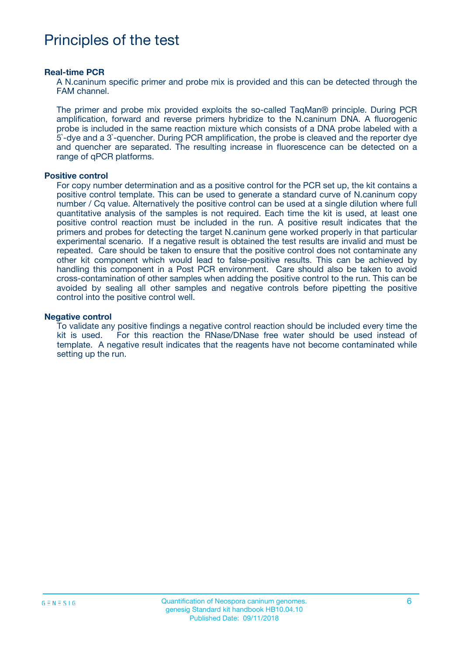## Principles of the test

#### **Real-time PCR**

A N.caninum specific primer and probe mix is provided and this can be detected through the FAM channel.

The primer and probe mix provided exploits the so-called TaqMan® principle. During PCR amplification, forward and reverse primers hybridize to the N.caninum DNA. A fluorogenic probe is included in the same reaction mixture which consists of a DNA probe labeled with a 5`-dye and a 3`-quencher. During PCR amplification, the probe is cleaved and the reporter dye and quencher are separated. The resulting increase in fluorescence can be detected on a range of qPCR platforms.

#### **Positive control**

For copy number determination and as a positive control for the PCR set up, the kit contains a positive control template. This can be used to generate a standard curve of N.caninum copy number / Cq value. Alternatively the positive control can be used at a single dilution where full quantitative analysis of the samples is not required. Each time the kit is used, at least one positive control reaction must be included in the run. A positive result indicates that the primers and probes for detecting the target N.caninum gene worked properly in that particular experimental scenario. If a negative result is obtained the test results are invalid and must be repeated. Care should be taken to ensure that the positive control does not contaminate any other kit component which would lead to false-positive results. This can be achieved by handling this component in a Post PCR environment. Care should also be taken to avoid cross-contamination of other samples when adding the positive control to the run. This can be avoided by sealing all other samples and negative controls before pipetting the positive control into the positive control well.

#### **Negative control**

To validate any positive findings a negative control reaction should be included every time the kit is used. For this reaction the RNase/DNase free water should be used instead of template. A negative result indicates that the reagents have not become contaminated while setting up the run.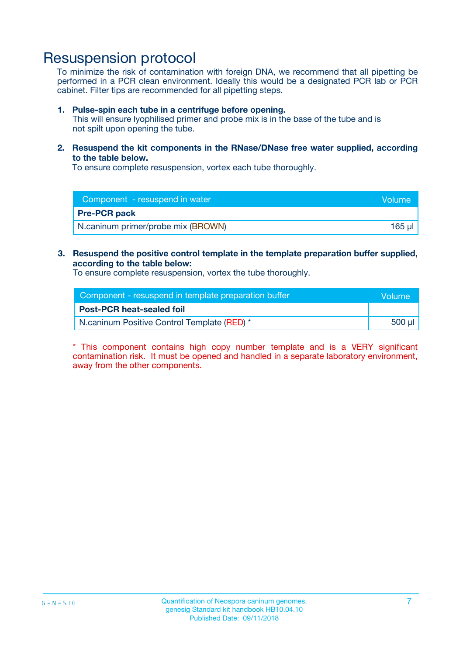## Resuspension protocol

To minimize the risk of contamination with foreign DNA, we recommend that all pipetting be performed in a PCR clean environment. Ideally this would be a designated PCR lab or PCR cabinet. Filter tips are recommended for all pipetting steps.

#### **1. Pulse-spin each tube in a centrifuge before opening.**

This will ensure lyophilised primer and probe mix is in the base of the tube and is not spilt upon opening the tube.

**2. Resuspend the kit components in the RNase/DNase free water supplied, according to the table below.**

To ensure complete resuspension, vortex each tube thoroughly.

| Component - resuspend in water     | Volume |
|------------------------------------|--------|
| <b>Pre-PCR pack</b>                |        |
| N.caninum primer/probe mix (BROWN) | 165 µl |

#### **3. Resuspend the positive control template in the template preparation buffer supplied, according to the table below:**

To ensure complete resuspension, vortex the tube thoroughly.

| Component - resuspend in template preparation buffer |        |  |
|------------------------------------------------------|--------|--|
| <b>Post-PCR heat-sealed foil</b>                     |        |  |
| N.caninum Positive Control Template (RED) *          | 500 µl |  |

\* This component contains high copy number template and is a VERY significant contamination risk. It must be opened and handled in a separate laboratory environment, away from the other components.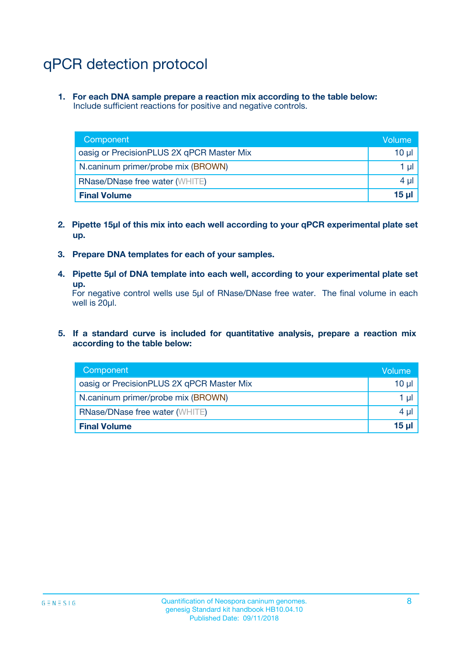## qPCR detection protocol

**1. For each DNA sample prepare a reaction mix according to the table below:** Include sufficient reactions for positive and negative controls.

| Component                                 | Volume   |
|-------------------------------------------|----------|
| oasig or PrecisionPLUS 2X qPCR Master Mix | 10 $\mu$ |
| N.caninum primer/probe mix (BROWN)        | 1 $\mu$  |
| <b>RNase/DNase free water (WHITE)</b>     | $4 \mu$  |
| <b>Final Volume</b>                       | $15 \mu$ |

- **2. Pipette 15µl of this mix into each well according to your qPCR experimental plate set up.**
- **3. Prepare DNA templates for each of your samples.**
- **4. Pipette 5µl of DNA template into each well, according to your experimental plate set up.**

For negative control wells use 5µl of RNase/DNase free water. The final volume in each well is 20µl.

**5. If a standard curve is included for quantitative analysis, prepare a reaction mix according to the table below:**

| Component                                 | Volume     |
|-------------------------------------------|------------|
| oasig or PrecisionPLUS 2X qPCR Master Mix | 10 µl      |
| N.caninum primer/probe mix (BROWN)        | 1 µI       |
| <b>RNase/DNase free water (WHITE)</b>     | $4 \mu$    |
| <b>Final Volume</b>                       | $15$ $\mu$ |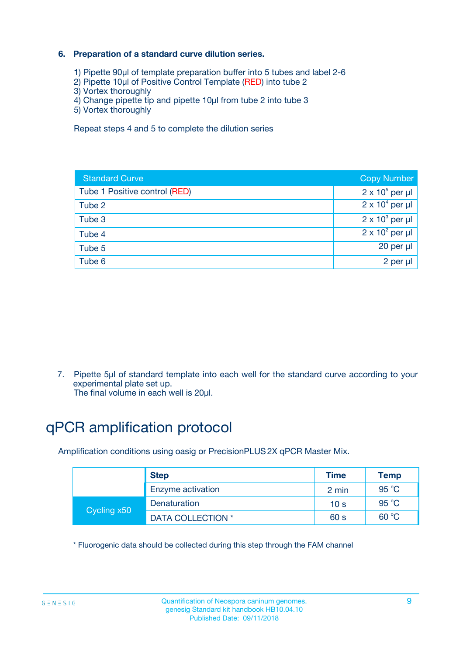### **6. Preparation of a standard curve dilution series.**

- 1) Pipette 90µl of template preparation buffer into 5 tubes and label 2-6
- 2) Pipette 10µl of Positive Control Template (RED) into tube 2
- 3) Vortex thoroughly
- 4) Change pipette tip and pipette 10µl from tube 2 into tube 3
- 5) Vortex thoroughly

Repeat steps 4 and 5 to complete the dilution series

| <b>Standard Curve</b>         | <b>Copy Number</b>     |
|-------------------------------|------------------------|
| Tube 1 Positive control (RED) | $2 \times 10^5$ per µl |
| Tube 2                        | $2 \times 10^4$ per µl |
| Tube 3                        | $2 \times 10^3$ per µl |
| Tube 4                        | $2 \times 10^2$ per µl |
| Tube 5                        | 20 per µl              |
| Tube 6                        | $2$ per $\mu$          |

7. Pipette 5µl of standard template into each well for the standard curve according to your experimental plate set up.

The final volume in each well is 20µl.

## qPCR amplification protocol

Amplification conditions using oasig or PrecisionPLUS2X qPCR Master Mix.

| <b>Step</b> |                   | <b>Time</b>     | <b>Temp</b> |
|-------------|-------------------|-----------------|-------------|
|             | Enzyme activation | 2 min           | 95 °C       |
| Cycling x50 | Denaturation      | 10 <sub>s</sub> | 95 $°C$     |
|             | DATA COLLECTION * | 60 s            | 60 °C       |

\* Fluorogenic data should be collected during this step through the FAM channel